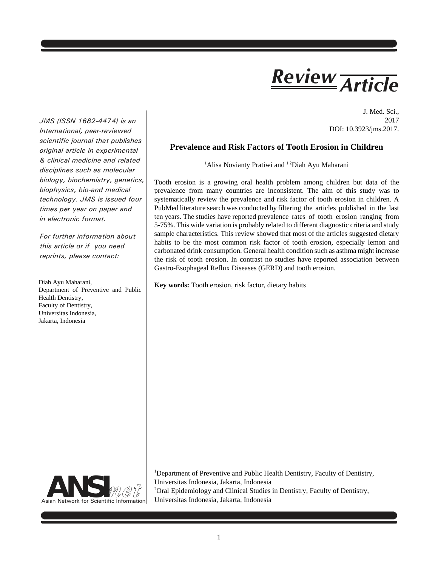# *Article Review*

J. Med. Sci., 2017 DOI: 10.3923/jms.2017.

**Prevalence and Risk Factors of Tooth Erosion in Children**

<sup>1</sup>Alisa Novianty Pratiwi and <sup>1,2</sup>Diah Ayu Maharani

Tooth erosion is a growing oral health problem among children but data of the prevalence from many countries are inconsistent. The aim of this study was to systematically review the prevalence and risk factor of tooth erosion in children. A PubMed literature search was conducted by filtering the articles published in the last ten years. The studies have reported prevalence rates of tooth erosion ranging from 5-75%. This wide variation is probably related to different diagnostic criteria and study sample characteristics. This review showed that most of the articles suggested dietary habits to be the most common risk factor of tooth erosion, especially lemon and carbonated drink consumption. General health condition such as asthma might increase the risk of tooth erosion. In contrast no studies have reported association between Gastro-Esophageal Reflux Diseases (GERD) and tooth erosion.

**Key words:** Tooth erosion, risk factor, dietary habits

<sup>1</sup>Department of Preventive and Public Health Dentistry, Faculty of Dentistry, Universitas Indonesia, Jakarta, Indonesia <sup>2</sup>Oral Epidemiology and Clinical Studies in Dentistry, Faculty of Dentistry, Universitas Indonesia, Jakarta, Indonesia



*International, peer-reviewed scientific journal that publishes original article in experimental & clinical medicine and related disciplines such as molecular biology, biochemistry, genetics, biophysics, bio-and medical technology. JMS is issued four times per year on paper and in electronic format.*

*JMS (ISSN 1682-4474) is an*

*For further information about this article or if you need reprints, please contact:*

Diah Ayu Maharani, Department of Preventive and Public Health Dentistry, Faculty of Dentistry, Universitas Indonesia, Jakarta, Indonesia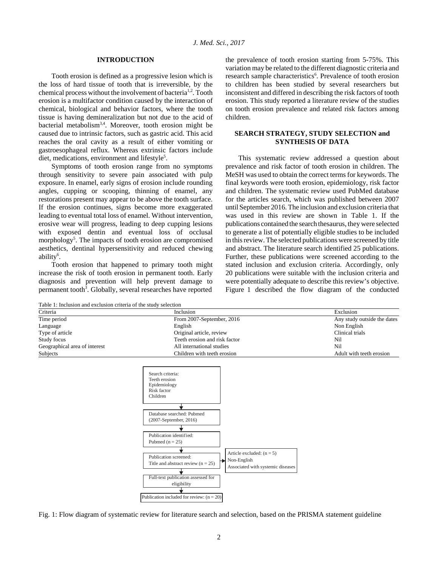## **INTRODUCTION**

Tooth erosion is defined as a progressive lesion which is the loss of hard tissue of tooth that is irreversible, by the chemical process without the involvement of bacteria<sup>1,2</sup>. Tooth erosion is a multifactor condition caused by the interaction of chemical, biological and behavior factors, where the tooth tissue is having demineralization but not due to the acid of bacterial metabolism3,4. Moreover, tooth erosion might be caused due to intrinsic factors, such as gastric acid. This acid reaches the oral cavity as a result of either vomiting or gastroesophageal reflux. Whereas extrinsic factors include diet, medications, environment and lifestyle<sup>5</sup>.

Symptoms of tooth erosion range from no symptoms through sensitivity to severe pain associated with pulp exposure. In enamel, early signs of erosion include rounding angles, cupping or scooping, thinning of enamel, any restorations present may appear to be above the tooth surface. If the erosion continues, signs become more exaggerated leading to eventual total loss of enamel. Without intervention, erosive wear will progress, leading to deep cupping lesions with exposed dentin and eventual loss of occlusal morphology<sup>5</sup>. The impacts of tooth erosion are compromised aesthetics, dentinal hypersensitivity and reduced chewing ability<sup>6</sup>.

Tooth erosion that happened to primary tooth might increase the risk of tooth erosion in permanent tooth. Early diagnosis and prevention will help prevent damage to permanent tooth<sup>3</sup>. Globally, several researches have reported

the prevalence of tooth erosion starting from 5-75%. This variation may be related to the different diagnostic criteria and research sample characteristics<sup>6</sup>. Prevalence of tooth erosion to children has been studied by several researchers but inconsistent and differed in describing the risk factors of tooth erosion. This study reported a literature review of the studies on tooth erosion prevalence and related risk factors among children.

## **SEARCH STRATEGY, STUDY SELECTION and SYNTHESIS OF DATA**

This systematic review addressed a question about prevalence and risk factor of tooth erosion in children. The MeSH was used to obtain the correct terms for keywords. The final keywords were tooth erosion, epidemiology, risk factor and children. The systematic review used PubMed database for the articles search, which was published between 2007 until September 2016. The inclusion and exclusion criteria that was used in this review are shown in Table 1. If the publications contained the search thesaurus, they were selected to generate a list of potentially eligible studies to be included in this review. The selected publications were screened by title and abstract. The literature search identified 25 publications. Further, these publications were screened according to the stated inclusion and exclusion criteria. Accordingly, only 20 publications were suitable with the inclusion criteria and were potentially adequate to describe this review's objective. Figure 1 described the flow diagram of the conducted

Table 1: Inclusion and exclusion criteria of the study selection

| Criteria                      | Inclusion                     | Exclusion                   |
|-------------------------------|-------------------------------|-----------------------------|
| Time period                   | From 2007-September, 2016     | Any study outside the dates |
| Language                      | English                       | Non English                 |
| Type of article               | Original article, review      | Clinical trials             |
| Study focus                   | Teeth erosion and risk factor | Nil                         |
| Geographical area of interest | All international studies     | Nil                         |
| <b>Subjects</b>               | Children with teeth erosion   | Adult with teeth erosion    |



Fig. 1: Flow diagram of systematic review for literature search and selection, based on the PRISMA statement guideline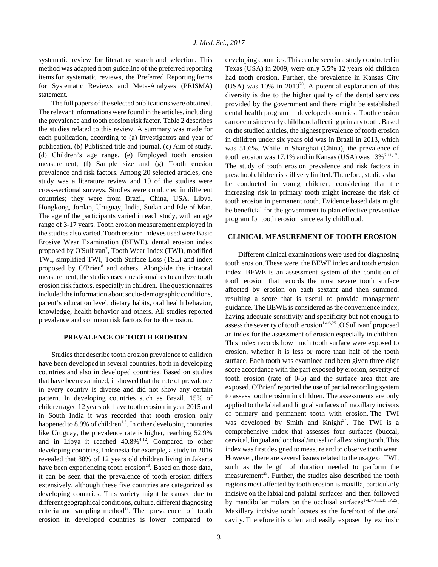systematic review for literature search and selection. This method was adapted from guideline of the preferred reporting items for systematic reviews, the Preferred Reporting Items for Systematic Reviews and Meta-Analyses (PRISMA) statement.

The full papers of the selected publications were obtained. The relevant informations were found in the articles, including the prevalence and tooth erosion risk factor. Table 2 describes the studies related to this review. A summary was made for each publication, according to (a) Investigators and year of publication, (b) Published title and journal, (c) Aim of study, (d) Children's age range, (e) Employed tooth erosion measurement, (f) Sample size and (g) Tooth erosion prevalence and risk factors. Among 20 selected articles, one study was a literature review and 19 of the studies were cross-sectional surveys. Studies were conducted in different countries; they were from Brazil, China, USA, Libya, Hongkong, Jordan, Uruguay, India, Sudan and Isle of Man. The age of the participants varied in each study, with an age range of 3-17 years. Tooth erosion measurement employed in the studies also varied. Tooth erosion indexes used were Basic Erosive Wear Examination (BEWE), dental erosion index proposed by O'Sullivan<sup>7</sup>, Tooth Wear Index (TWI), modified TWI, simplified TWI, Tooth Surface Loss (TSL) and index proposed by O'Brien<sup>8</sup> and others. Alongside the intraoral measurement, the studies used questionnaires to analyze tooth erosion risk factors, especially in children. The questionnaires included the information about socio-demographic conditions, parent's education level, dietary habits, oral health behavior, knowledge, health behavior and others. All studies reported prevalence and common risk factors for tooth erosion.

### **PREVALENCE OF TOOTH EROSION**

Studies that describe tooth erosion prevalence to children have been developed in several countries, both in developing countries and also in developed countries. Based on studies that have been examined, it showed that the rate of prevalence in every country is diverse and did not show any certain pattern. In developing countries such as Brazil, 15% of children aged 12 years old have tooth erosion in year 2015 and in South India it was recorded that tooth erosion only happened to 8.9% of children<sup>1,3</sup>. In other developing countries like Uruguay, the prevalence rate is higher, reaching 52.9% and in Libya it reached 40.8%4,12. Compared to other developing countries, Indonesia for example, a study in 2016 revealed that 88% of 12 years old children living in Jakarta have been experiencing tooth erosion $^{23}$ . Based on those data, it can be seen that the prevalence of tooth erosion differs extensively, although these five countries are categorized as developing countries. This variety might be caused due to different geographical conditions, culture, different diagnosing criteria and sampling method $11$ . The prevalence of tooth erosion in developed countries is lower compared to developing countries. This can be seen in a study conducted in Texas (USA) in 2009, were only 5.5% 12 years old children had tooth erosion. Further, the prevalence in Kansas City (USA) was 10% in 201320. A potential explanation of this diversity is due to the higher quality of the dental services provided by the government and there might be established dental health program in developed countries. Tooth erosion can occur since early childhood affecting primary tooth. Based on the studied articles, the highest prevalence of tooth erosion in children under six years old was in Brazil in 2013, which was 51.6%. While in Shanghai (China), the prevalence of tooth erosion was 17.1% and in Kansas (USA) was  $13\%^{2,11,17}$ . The study of tooth erosion prevalence and risk factors in preschool children is still very limited. Therefore, studies shall be conducted in young children, considering that the increasing risk in primary tooth might increase the risk of tooth erosion in permanent tooth. Evidence based data might be beneficial for the government to plan effective preventive program for tooth erosion since early childhood.

## **CLINICAL MEASUREMENT OF TOOTH EROSION**

Different clinical examinations were used for diagnosing tooth erosion. These were, the BEWE index and tooth erosion index. BEWE is an assessment system of the condition of tooth erosion that records the most severe tooth surface affected by erosion on each sextant and then summed, resulting a score that is useful to provide management guidance. The BEWE is considered as the convenience index, having adequate sensitivity and specificity but not enough to assess the severity of tooth erosion<sup>1,4,6,25</sup> .O'Sullivan<sup>7</sup> proposed an index for the assessment of erosion especially in children. This index records how much tooth surface were exposed to erosion, whether it is less or more than half of the tooth surface. Each tooth was examined and been given three digit score accordance with the part exposed by erosion, severity of tooth erosion (rate of 0-5) and the surface area that are exposed. O'Brien<sup>8</sup> reported the use of partial recording system to assess tooth erosion in children. The assessments are only applied to the labial and lingual surfaces of maxillary incisors of primary and permanent tooth with erosion. The TWI was developed by Smith and Knight<sup>24</sup>. The TWI is a comprehensive index that assesses four surfaces (buccal, cervical, lingual and occlusal/incisal) of all existing tooth. This index was first designed to measure and to observe tooth wear. However, there are several issues related to the usage of TWI, such as the length of duration needed to perform the measurement<sup>25</sup>. Further, the studies also described the tooth regions most affected by tooth erosion is maxilla, particularly incisive on the labial and palatal surfaces and then followed by mandibular molars on the occlusal surfaces<sup>1-4,7-9,11,15,17,25</sup>. Maxillary incisive tooth locates as the forefront of the oral cavity. Therefore it is often and easily exposed by extrinsic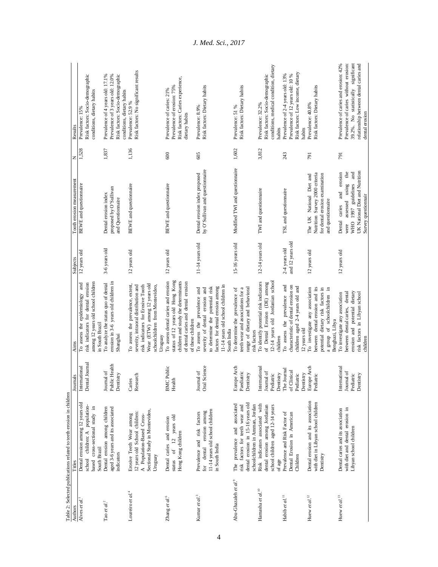| Authors                                   | Titles                                                                                                                                      | Journals                                              | Aims                                                                                                                                                                                          | Subjects                          | Tooth erosion measurement                                                                                                                           | z         | Results                                                                                                                                                                              |
|-------------------------------------------|---------------------------------------------------------------------------------------------------------------------------------------------|-------------------------------------------------------|-----------------------------------------------------------------------------------------------------------------------------------------------------------------------------------------------|-----------------------------------|-----------------------------------------------------------------------------------------------------------------------------------------------------|-----------|--------------------------------------------------------------------------------------------------------------------------------------------------------------------------------------|
| Alves et al. <sup>1</sup>                 | Dental erosion among 12 years old<br>school children: A population-<br>based cross-sectional study in<br>South Brazil                       | Dental Journal<br>International                       | among 12 years old school children<br>risk indicators for dental erosion<br>To assess the epidemiology and<br>in South Brazil                                                                 | 12 years old                      | <b>BEWE</b> and questionnaire                                                                                                                       | 1,528     | Risk factors: Socio-demographic<br>conditions, dietary habits<br>Prevalence: 15%                                                                                                     |
| Tao $et\, al.^2$                          | Dental erosion among children<br>aged 3-6 years and its associated<br>indicators                                                            | Public Health<br>Journal of<br>Dentistry              | erosion in 3-6 years old children in<br>To analyze the status quo of dental<br>Shanghai                                                                                                       | 3-6 years old                     | proposed by O'Sullivan<br>Dental erosion index<br>and Questionnaire                                                                                 | 1,837     | Risk factors: Socio-demographic<br>Prevalence of 4 years old: 17.1%<br>Prevalence of 3 years old: 12.0%<br>conditions, dietary habits                                                |
| Loureiro et al. <sup>4</sup>              | Sectional Study in Montevideo,<br>12 years old School children:<br>Erosive Teeth Wear among<br>A Population-Based Cross-<br>Uruguay         | Research<br>Caries                                    | Wear (ETW) among 12 years old<br>To assess the prevalence, extent,<br>severity, intraoral distribution and<br>risk indicators for Erosive Tooth<br>schoolchildren from Montevideo,<br>Uruguay | 12 years old                      | <b>BEWE</b> and questionnaire                                                                                                                       | 1,136     | Risk factors: No significant results<br>Prevalence: 52.9 %                                                                                                                           |
| Zhang et al. <sup>6</sup>                 | 12 years old<br>Dental caries and erosion<br>Hong Kong children<br>$\sigma$ f<br>status                                                     | <b>BMC</b> Public<br>Health                           | status of 12 years old Hong Kong<br>To assess dental caries and erosion<br>children and study the determinants<br>of dental caries and dental erosion<br>of these children                    | 12 years old                      | BEWE and questionnaire                                                                                                                              | 600       | Risk factors: Caries experience,<br>Prevalence of erosion: 75%<br>Prevalence of caries: 21%<br>dietary habits                                                                        |
| Kumar et al. <sup>3</sup>                 | 11-14 years old school children<br>erosion among<br>Prevalence and risk factors<br>in South India<br>dental<br>for                          | Oral Science<br>Journal of                            | 11-14 years old school children in<br>to determine the potential risk<br>factors for dental erosion among<br>To assess the prevalence and<br>severity of dental erosion and<br>South India    | $11-14$ years old                 | by O'Sullivan and questionnaire<br>Dental erosion index proposed                                                                                    | 605       | Risk factors: Dietary habits<br>Prevalence: 8.9%                                                                                                                                     |
| Abu-Ghazaleh et al.9                      | dental erosion in 15-16 years old<br>The prevalence and associated<br>schoolchildren in Amman, Jordan<br>factors for teeth wear and<br>risk | Europe Arch<br>Paediatric<br>Dentistry                | range of dietary and behavioral<br>To determine the prevalence of<br>teeth wear and associations for a<br>risk factors                                                                        | 15-16 years old                   | Modified TWI and questionnaire                                                                                                                      | 1,602     | Risk factors: Dietary habits<br>Prevalence: 51 %                                                                                                                                     |
| Hamasha $et\ al.^{\scriptscriptstyle 10}$ | Risk indicators associated with<br>dental erosion among Jordanian<br>school children aged 12-14 years<br>of age                             | International<br>Journal of<br>Dentistry<br>Pediatric | To identify potential risk indicators<br>12-14 years old Jordanian school<br>of Dental Erosion (DE) among<br>children                                                                         | 12-14 years old                   | TWI and questionnaire                                                                                                                               | 3,812     | conditions, medical condition, dietary<br>Risk factors: Socio-demographic<br>Prevalence: 32.2%<br>habits                                                                             |
| Habib et al. $^{11}$                      | Prevalence and Risk Factor of<br>Dental Erosion in American<br>Children                                                                     | The Journal<br>of Clinical<br>Pediatric<br>Dentistry  | To assess the prevalence and<br>characteristic of dental erosion on<br>children aged 2-4 years old and<br>12 years old                                                                        | and 12 years old<br>2-4 years old | TSL and questionnaire                                                                                                                               | 243       | Risk factors: Low income, dietary<br>Prevalence of 2-4 years old: 13%<br>Prevalence of 12 years old: 10 %<br>habits                                                                  |
| Huew et al. $^{12}$                       | Dental erosion and its association<br>with diet in Libyan school children<br>Dentistry                                                      | Europe Arch<br>Pediatric                              | between dental erosion and its<br>To investigate any association<br>potential dietary risk factors in<br>a group of schoolchildren in<br>Benghazi, Libya                                      | 12 years old                      | Nutrition Survey 2000 criteria<br>for dental erosion examination<br>The UK National Diet and<br>and questionnaire                                   | <b>16</b> | Risk factors: Dietary habits<br>Prevalence: 40.8%                                                                                                                                    |
| Huew et al. <sup>13</sup>                 | Dental caries and its association<br>with diet and dental erosion in<br>Libyan school children                                              | International<br>Journal of<br>Pediatric<br>Dentistry | erosion and potential dietary<br>between dental caries, dental<br>risk factors in Libyan school<br>To investigate any association<br>children                                                 | 12 years old                      | UK National Diet and Nutrition<br>the<br>and<br>Dental caries and erosion<br>using<br>WHO 1997 guidelines<br>Survey questiomair<br>assessed<br>were | 791       | significant<br>Prevalence of caries and erosion: 42%<br>Prevalence of caries without erosion:<br>relationship between dental caries and<br>39.2%. No statistically<br>dental erosion |

*J. Med. Sci., 2017*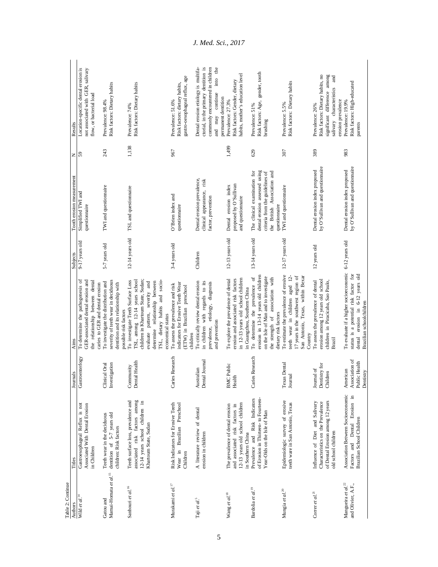| Table 2: Continue                               |                                                                                                                                |                                                          |                                                                                                                                                                                                                |                   |                                                                                                                                                  |                            |                                                                                                                                                                              |
|-------------------------------------------------|--------------------------------------------------------------------------------------------------------------------------------|----------------------------------------------------------|----------------------------------------------------------------------------------------------------------------------------------------------------------------------------------------------------------------|-------------------|--------------------------------------------------------------------------------------------------------------------------------------------------|----------------------------|------------------------------------------------------------------------------------------------------------------------------------------------------------------------------|
| Authors<br>Wild et al. <sup>14</sup>            | Titles                                                                                                                         | Journals                                                 | Aims                                                                                                                                                                                                           | Subjects          | Tooth erosion measurement                                                                                                                        | $\mathbb{Z}$ $\frac{6}{5}$ | Results                                                                                                                                                                      |
|                                                 | Gastroesophageal Reflux is not<br>Associated With Dental Erosion<br>in Children                                                | Gastroenterlogy                                          | To determine the pathogenesis of<br>GER-associated dental erosion and<br>the relationship between dental<br>caries to GER and dental erosion                                                                   | 9-17 years old    | Simplified TWI and<br>questionnaire                                                                                                              |                            | Location-specific dental erosion is<br>not associated with GER, salivary<br>flow, or bacterial load                                                                          |
| Mamai-Homata et al. <sup>15</sup><br>Gatou and  | dentition of 5-7 years old<br>Teeth wear in the deciduous<br>children: Risk factors                                            | Investigation<br>Clinical Oral                           | severity of teeth wear in deciduous<br>To investigate the distribution and<br>dentition and its relationship with<br>possible risk factors                                                                     | 5-7 years old     | TWI and questionnaire                                                                                                                            | 243                        | Risk factors: Dietary habits<br>Prevalence: 98.4%                                                                                                                            |
| Sanhouri et al. <sup>16</sup>                   | Teeth surface loss, prevalence and<br>associated risk factors among<br>12-14 years school children in<br>Khartoum State, Sudan | Dental Health<br>Community                               | TSL, among 12-14 years school<br>children in Khartoum State, Sudan;<br>To investigate Teeth Surface Loss<br>determine relationship between<br>TSL, dietary habits and socio-<br>evaluate pattern, severity and | 12-14 years old   | TSL and questionnaire                                                                                                                            | 1,138                      | Risk factors: Dietary habits<br>Prevalence: 74%                                                                                                                              |
| Murakami $et\ al.^{!7}$                         | Risk Indicators for Erosive Teeth<br>Wear in Brazilian Preschool<br>Children                                                   | Caries Research                                          | indicators for Erosive Teeth Wear<br>To assess the prevalence and risk<br>(ETW) in Brazilian preschool<br>economical status<br>children                                                                        | 3-4 years old     | O'Brien index and<br>questionnaire                                                                                                               | 967                        | gastro-oesophageal reflux, age<br>Risk factors: dietary habits,<br>Prevalence: 51.6%                                                                                         |
| Taji et al. <sup>5</sup>                        | A literature review of dental<br>erosion in children                                                                           | Dental Journal<br>Australian                             | To critically review dental erosion<br>in children with regards to its<br>etiology, diagnosis<br>and prevention<br>prevalence,                                                                                 | Children          | Dental erosion prevalence,<br>clinical appearance, risk<br>factor, prevention                                                                    |                            | ctorial, in the primary dentition is<br>commonly encountered in children<br>the<br>Dental erosion etiology is multifa-<br>into<br>continue<br>permanent dentition<br>and may |
| Wang et al. <sup>18</sup>                       | 12-13 years old school children<br>The prevalence of dental erosion<br>and associated risk factors in<br>in Southern China     | <b>BMC</b> Public<br>Health                              | in 12-13 years old school children<br>erosion and associated risk factors<br>To explore the prevalence of dental<br>in Guangzhou, Southern China                                                               | 12-13 years old   | proposed by O'Sullivan<br>Dental erosion index<br>and questionnaire                                                                              | 1,499                      | habits, mother's education level<br>Risk factors: Gender, dietary<br>Prevalence: 27.3%                                                                                       |
| Bardolia et al. <sup>19</sup>                   | of Erosion in Thirteen- to Fourteen-<br>Prevalence and Risk Indicators<br>Year-Olds on the Isle of Man                         | Caries Research                                          | erosion in 13-14 years old children<br>To determine the prevalence of<br>on the Isle of Man and to investigate<br>the strength of association with<br>dietary risk factors                                     | $13-14$ years old | dental erosion assessed using<br>The clinical examination for<br>the British Association and<br>criteria from the guidelines of<br>questionnaire | 629                        | Risk factors: Age, gender, tooth<br>Prevalence: 51%<br>brushing                                                                                                              |
| Mungia et al. <sup>20</sup>                     | Epidemiologic survey of erosive<br>teeth ware in San Antonio, Texas                                                            | <b>Texas Dental</b><br>Journal                           | To estimate the prevalence of erosive<br>San Antonio, Texas, within Bexar<br>17 years in the southwest region of<br>teeth wear in children aged 12-<br>Country                                                 | 12-17 years old   | TWI and questionnaire                                                                                                                            | 307                        | Risk factors: Dietary habits<br>Prevalence: 5.5%                                                                                                                             |
| Correr et al. <sup>21</sup>                     | of Dental Erosion among 12 years<br>Influence of Diet and Salivary<br>Characteristics on the Prevalence<br>old school children | Dentistry for<br>Journal of<br>Children                  | erosion among 12 years old school<br>children in Piracicaba, Sao Paulo,<br>To assess the prevalence of dental<br>Brazil                                                                                        | 12 years old      | by O'Sullivan and questionnaire<br>Dental erosion index proposed                                                                                 | 389                        | significant difference among<br>Risk factors: Dietary habits, no<br>$_{\rm and}$<br>salivary characteristics<br>erosion prevalence<br>Prevalence: 26%                        |
| Mangueira $et\, al.^{22}$<br>and Olivier, A.F., | Association Between Socioeconomic<br>Dental Erosion in<br>Brazilian School Children<br>Factors and                             | Association of<br>Public Health<br>American<br>Dentistry | To evaluate if a higher socioeconomic<br>status is a potential risk factor for<br>6-12 years old<br>Brazilian schoolchildren<br>dental erosion in                                                              | 6-12 years old    | by O'Sullivan and questiomaire<br>Dental erosion index proposed                                                                                  | 983                        | Risk factors: High-educated<br>Prevalence: 19.9%<br>parents                                                                                                                  |

*J. Med. Sci., 2017*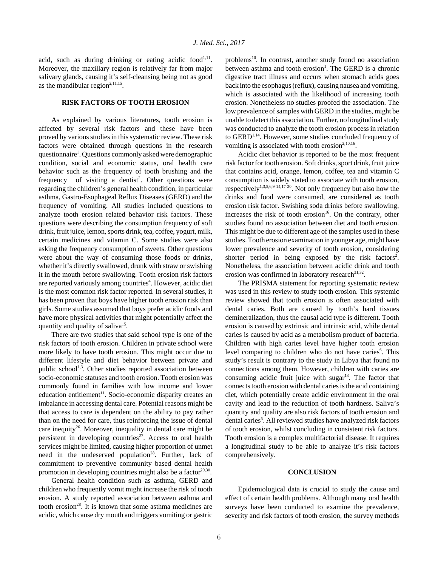acid, such as during drinking or eating acidic food<sup>1,11</sup>. Moreover, the maxillary region is relatively far from major salivary glands, causing it's self-cleansing being not as good as the mandibular region<sup> $2,11,15$ </sup>.

# **RISK FACTORS OF TOOTH EROSION**

As explained by various literatures, tooth erosion is affected by several risk factors and these have been proved by various studies in this systematic review. These risk factors were obtained through questions in the research questionnaire<sup>1</sup>. Questions commonly asked were demographic condition, social and economic status, oral health care behavior such as the frequency of tooth brushing and the frequency of visiting a dentist<sup>2</sup>. Other questions were regarding the children's general health condition, in particular asthma, Gastro-Esophageal Reflux Diseases (GERD) and the frequency of vomiting. All studies included questions to analyze tooth erosion related behavior risk factors. These questions were describing the consumption frequency of soft drink, fruit juice, lemon, sports drink, tea, coffee, yogurt, milk, certain medicines and vitamin C. Some studies were also asking the frequency consumption of sweets. Other questions were about the way of consuming those foods or drinks, whether it's directly swallowed, drunk with straw or swishing it in the mouth before swallowing. Tooth erosion risk factors are reported variously among countries<sup>4</sup>. However, acidic diet is the most common risk factor reported. In several studies, it has been proven that boys have higher tooth erosion risk than girls. Some studies assumed that boys prefer acidic foods and have more physical activities that might potentially affect the quantity and quality of saliva<sup>15</sup>.

There are two studies that said school type is one of the risk factors of tooth erosion. Children in private school were more likely to have tooth erosion. This might occur due to different lifestyle and diet behavior between private and public school<sup>1,3</sup>. Other studies reported association between socio-economic statuses and tooth erosion. Tooth erosion was commonly found in families with low income and lower education entitlement<sup>11</sup>. Socio-economic disparity creates an imbalance in accessing dental care. Potential reasons might be that access to care is dependent on the ability to pay rather than on the need for care, thus reinforcing the issue of dental care inequity<sup>26</sup>. Moreover, inequality in dental care might be persistent in developing countries<sup>27</sup>. Access to oral health services might be limited, causing higher proportion of unmet need in the undeserved population<sup>28</sup>. Further, lack of commitment to preventive community based dental health promotion in developing countries might also be a factor $29,30$ .

General health condition such as asthma, GERD and children who frequently vomit might increase the risk of tooth erosion. A study reported association between asthma and tooth erosion<sup>28</sup>. It is known that some asthma medicines are acidic, which cause dry mouth and triggers vomiting or gastric problems<sup>10</sup>. In contrast, another study found no association between asthma and tooth erosion<sup>1</sup>. The GERD is a chronic digestive tract illness and occurs when stomach acids goes back into the esophagus (reflux), causing nausea and vomiting, which is associated with the likelihood of increasing tooth erosion. Nonetheless no studies proofed the association. The low prevalence of samples with GERD in the studies, might be unable to detect this association. Further, no longitudinal study was conducted to analyze the tooth erosion process in relation to GERD<sup>1,14</sup>. However, some studies concluded frequency of vomiting is associated with tooth erosion<sup>2,10,16</sup>.

Acidic diet behavior is reported to be the most frequent risk factor for tooth erosion. Soft drinks, sport drink, fruit juice that contains acid, orange, lemon, coffee, tea and vitamin C consumption is widely stated to associate with tooth erosion, respectively<sup>1,3,5,6,9-14,17-20</sup>. Not only frequency but also how the drinks and food were consumed, are considered as tooth erosion risk factor. Swishing soda drinks before swallowing, increases the risk of tooth erosion $16$ . On the contrary, other studies found no association between diet and tooth erosion. This might be due to different age of the samples used in these studies. Tooth erosion examination in younger age, might have lower prevalence and severity of tooth erosion, considering shorter period in being exposed by the risk factors<sup>2</sup>. Nonetheless, the association between acidic drink and tooth erosion was confirmed in laboratory research $31,32$ .

The PRISMA statement for reporting systematic review was used in this review to study tooth erosion. This systemic review showed that tooth erosion is often associated with dental caries. Both are caused by tooth's hard tissues demineralization, thus the causal acid type is different. Tooth erosion is caused by extrinsic and intrinsic acid, while dental caries is caused by acid as a metabolism product of bacteria. Children with high caries level have higher tooth erosion level comparing to children who do not have caries<sup>6</sup>. This study's result is contrary to the study in Libya that found no connections among them. However, children with caries are consuming acidic fruit juice with sugar<sup>13</sup>. The factor that connects tooth erosion with dental caries is the acid containing diet, which potentially create acidic environment in the oral cavity and lead to the reduction of tooth hardness. Saliva's quantity and quality are also risk factors of tooth erosion and dental caries<sup>5</sup>. All reviewed studies have analyzed risk factors of tooth erosion, whilst concluding in consistent risk factors. Tooth erosion is a complex multifactorial disease. It requires a longitudinal study to be able to analyze it's risk factors comprehensively.

## **CONCLUSION**

Epidemiological data is crucial to study the cause and effect of certain health problems. Although many oral health surveys have been conducted to examine the prevalence, severity and risk factors of tooth erosion, the survey methods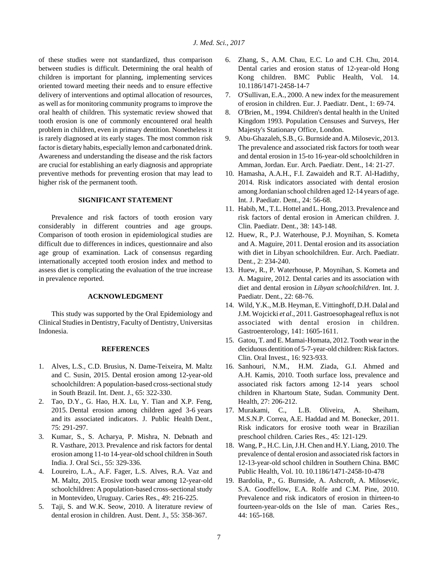of these studies were not standardized, thus comparison between studies is difficult. Determining the oral health of children is important for planning, implementing services oriented toward meeting their needs and to ensure effective delivery of interventions and optimal allocation of resources, as well as for monitoring community programs to improve the oral health of children. This systematic review showed that tooth erosion is one of commonly encountered oral health problem in children, even in primary dentition. Nonetheless it is rarely diagnosed at its early stages. The most common risk factor is dietary habits, especially lemon and carbonated drink. Awareness and understanding the disease and the risk factors are crucial for establishing an early diagnosis and appropriate preventive methods for preventing erosion that may lead to higher risk of the permanent tooth.

# **SIGNIFICANT STATEMENT**

Prevalence and risk factors of tooth erosion vary considerably in different countries and age groups. Comparison of tooth erosion in epidemiological studies are difficult due to differences in indices, questionnaire and also age group of examination. Lack of consensus regarding internationally accepted tooth erosion index and method to assess diet is complicating the evaluation of the true increase in prevalence reported.

## **ACKNOWLEDGMENT**

This study was supported by the Oral Epidemiology and Clinical Studies in Dentistry, Faculty of Dentistry, Universitas Indonesia.

#### **REFERENCES**

- 1. Alves, L.S., C.D. Brusius, N. Dame-Teixeira, M. Maltz and C. Susin, 2015. Dental erosion among 12-year-old schoolchildren: A population-based cross-sectional study in South Brazil. Int. Dent. J., 65: 322-330.
- 2. Tao, D.Y., G. Hao, H.X. Lu, Y. Tian and X.P. Feng, 2015. Dental erosion among children aged 3-6 years and its associated indicators. J. Public Health Dent., 75: 291-297.
- 3. Kumar, S., S. Acharya, P. Mishra, N. Debnath and R. Vasthare, 2013. Prevalence and risk factors for dental erosion among 11-to 14-year-old school children in South India. J. Oral Sci., 55: 329-336.
- 4. Loureiro, L.A., A.F. Fager, L.S. Alves, R.A. Vaz and M. Maltz, 2015. Erosive tooth wear among 12-year-old schoolchildren: A population-based cross-sectional study in Montevideo, Uruguay. Caries Res., 49: 216-225.
- 5. Taji, S. and W.K. Seow, 2010. A literature review of dental erosion in children. Aust. Dent. J., 55: 358-367.
- 6. Zhang, S., A.M. Chau, E.C. Lo and C.H. Chu, 2014. Dental caries and erosion status of 12-year-old Hong Kong children. BMC Public Health, Vol. 14. 10.1186/1471-2458-14-7
- 7. O'Sullivan, E.A., 2000. A new index for the measurement of erosion in children. Eur. J. Paediatr. Dent., 1: 69-74.
- 8. O'Brien, M., 1994. Children's dental health in the United Kingdom 1993. Population Censuses and Surveys, Her Majesty's Stationary Office, London.
- 9. Abu-Ghazaleh, S.B., G. Burnside and A. Milosevic, 2013. The prevalence and associated risk factors for tooth wear and dental erosion in 15-to 16-year-old schoolchildren in Amman, Jordan. Eur. Arch. Paediatr. Dent., 14: 21-27.
- 10. Hamasha, A.A.H., F.I. Zawaideh and R.T. Al-Hadithy, 2014. Risk indicators associated with dental erosion among Jordanian school children aged 12-14 years of age. Int. J. Paediatr. Dent., 24: 56-68.
- 11. Habib, M., T.L. Hottel and L. Hong, 2013. Prevalence and risk factors of dental erosion in American children. J. Clin. Paediatr. Dent., 38: 143-148.
- 12. Huew, R., P.J. Waterhouse, P.J. Moynihan, S. Kometa and A. Maguire, 2011. Dental erosion and its association with diet in Libyan schoolchildren. Eur. Arch. Paediatr. Dent., 2: 234-240.
- 13. Huew, R., P. Waterhouse, P. Moynihan, S. Kometa and A. Maguire, 2012. Dental caries and its association with diet and dental erosion in *Libyan schoolchildren*. Int. J. Paediatr. Dent., 22: 68-76.
- 14. Wild, Y.K., M.B. Heyman, E. Vittinghoff, D.H. Dalal and J.M. Wojcicki *et al*., 2011. Gastroesophageal reflux is not associated with dental erosion in children. Gastroenterology, 141: 1605-1611.
- 15. Gatou, T. and E. Mamai-Homata, 2012. Tooth wear in the deciduous dentition of 5-7-year-old children: Risk factors. Clin. Oral Invest., 16: 923-933.
- 16. Sanhouri, N.M., H.M. Ziada, G.I. Ahmed and A.H. Kamis, 2010. Tooth surface loss, prevalence and associated risk factors among 12-14 years school children in Khartoum State, Sudan. Community Dent. Health, 27: 206-212.
- 17. Murakami, C., L.B. Oliveira, A. Sheiham, M.S.N.P. Correa, A.E. Haddad and M. Bonecker, 2011. Risk indicators for erosive tooth wear in Brazilian preschool children. Caries Res., 45: 121-129.
- 18. Wang, P., H.C. Lin, J.H. Chen and H.Y. Liang, 2010. The prevalence of dental erosion and associated risk factors in 12-13-year-old school children in Southern China. BMC Public Health, Vol. 10. 10.1186/1471-2458-10-478
- 19. Bardolia, P., G. Burnside, A. Ashcroft, A. Milosevic, S.A. Goodfellow, E.A. Rolfe and C.M. Pine, 2010. Prevalence and risk indicators of erosion in thirteen-to fourteen-year-olds on the Isle of man. Caries Res., 44: 165-168.